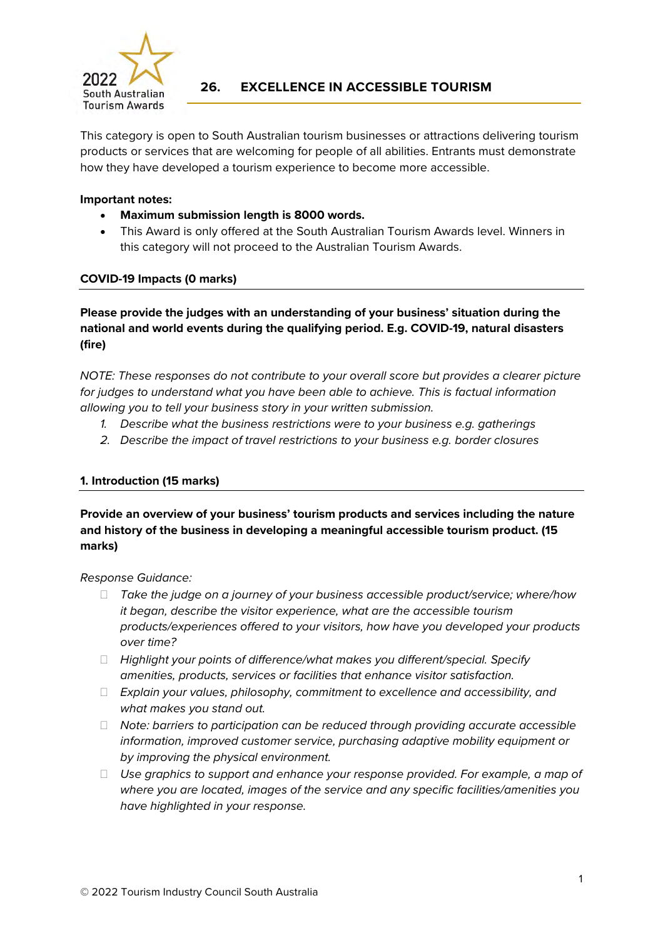

# **26. EXCELLENCE IN ACCESSIBLE TOURISM**

This category is open to South Australian tourism businesses or attractions delivering tourism products or services that are welcoming for people of all abilities. Entrants must demonstrate how they have developed a tourism experience to become more accessible.

## **Important notes:**

- **Maximum submission length is 8000 words.**
- This Award is only offered at the South Australian Tourism Awards level. Winners in this category will not proceed to the Australian Tourism Awards.

## **COVID-19 Impacts (0 marks)**

**Please provide the judges with an understanding of your business' situation during the national and world events during the qualifying period. E.g. COVID-19, natural disasters (fire)** 

*NOTE: These responses do not contribute to your overall score but provides a clearer picture for judges to understand what you have been able to achieve. This is factual information allowing you to tell your business story in your written submission.*

- *1. Describe what the business restrictions were to your business e.g. gatherings*
- *2. Describe the impact of travel restrictions to your business e.g. border closures*

# **1. Introduction (15 marks)**

**Provide an overview of your business' tourism products and services including the nature and history of the business in developing a meaningful accessible tourism product. (15 marks)** 

*Response Guidance:*

- *Take the judge on a journey of your business accessible product/service; where/how it began, describe the visitor experience, what are the accessible tourism products/experiences offered to your visitors, how have you developed your products over time?*
- *Highlight your points of difference/what makes you different/special. Specify amenities, products, services or facilities that enhance visitor satisfaction.*
- *Explain your values, philosophy, commitment to excellence and accessibility, and what makes you stand out.*
- *Note: barriers to participation can be reduced through providing accurate accessible information, improved customer service, purchasing adaptive mobility equipment or by improving the physical environment.*
- *Use graphics to support and enhance your response provided. For example, a map of where you are located, images of the service and any specific facilities/amenities you have highlighted in your response.*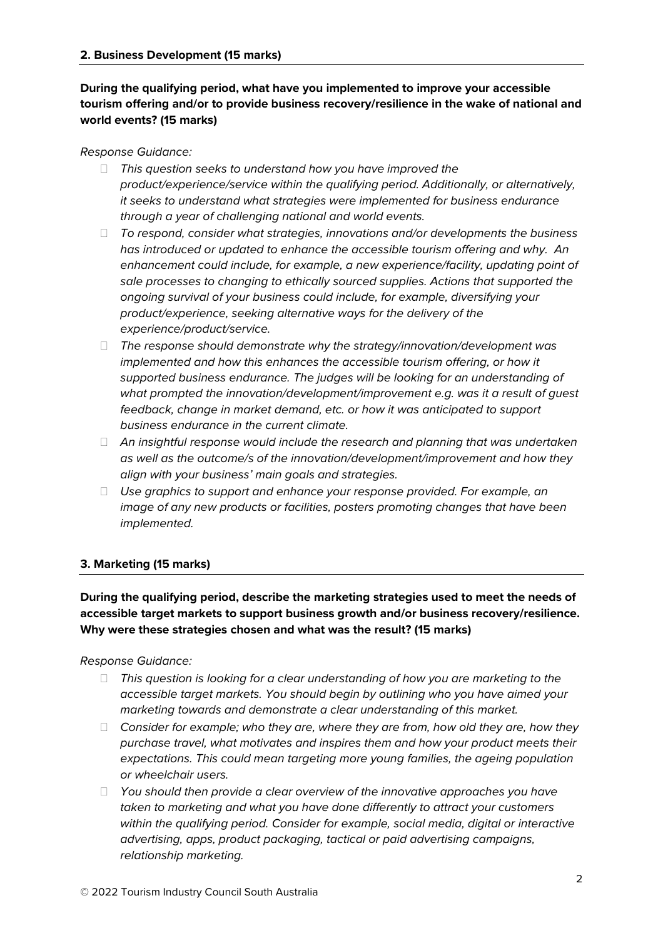# **During the qualifying period, what have you implemented to improve your accessible tourism offering and/or to provide business recovery/resilience in the wake of national and world events? (15 marks)**

## *Response Guidance:*

- *This question seeks to understand how you have improved the product/experience/service within the qualifying period. Additionally, or alternatively, it seeks to understand what strategies were implemented for business endurance through a year of challenging national and world events.*
- *To respond, consider what strategies, innovations and/or developments the business has introduced or updated to enhance the accessible tourism offering and why. An enhancement could include, for example, a new experience/facility, updating point of sale processes to changing to ethically sourced supplies. Actions that supported the ongoing survival of your business could include, for example, diversifying your product/experience, seeking alternative ways for the delivery of the experience/product/service.*
- *The response should demonstrate why the strategy/innovation/development was implemented and how this enhances the accessible tourism offering, or how it supported business endurance. The judges will be looking for an understanding of what prompted the innovation/development/improvement e.g. was it a result of guest feedback, change in market demand, etc. or how it was anticipated to support business endurance in the current climate.*
- *An insightful response would include the research and planning that was undertaken as well as the outcome/s of the innovation/development/improvement and how they align with your business' main goals and strategies.*
- *Use graphics to support and enhance your response provided. For example, an image of any new products or facilities, posters promoting changes that have been implemented.*

# **3. Marketing (15 marks)**

**During the qualifying period, describe the marketing strategies used to meet the needs of accessible target markets to support business growth and/or business recovery/resilience. Why were these strategies chosen and what was the result? (15 marks)**

#### *Response Guidance:*

- *This question is looking for a clear understanding of how you are marketing to the accessible target markets. You should begin by outlining who you have aimed your marketing towards and demonstrate a clear understanding of this market.*
- *Consider for example; who they are, where they are from, how old they are, how they purchase travel, what motivates and inspires them and how your product meets their expectations. This could mean targeting more young families, the ageing population or wheelchair users.*
- *You should then provide a clear overview of the innovative approaches you have taken to marketing and what you have done differently to attract your customers within the qualifying period. Consider for example, social media, digital or interactive advertising, apps, product packaging, tactical or paid advertising campaigns, relationship marketing.*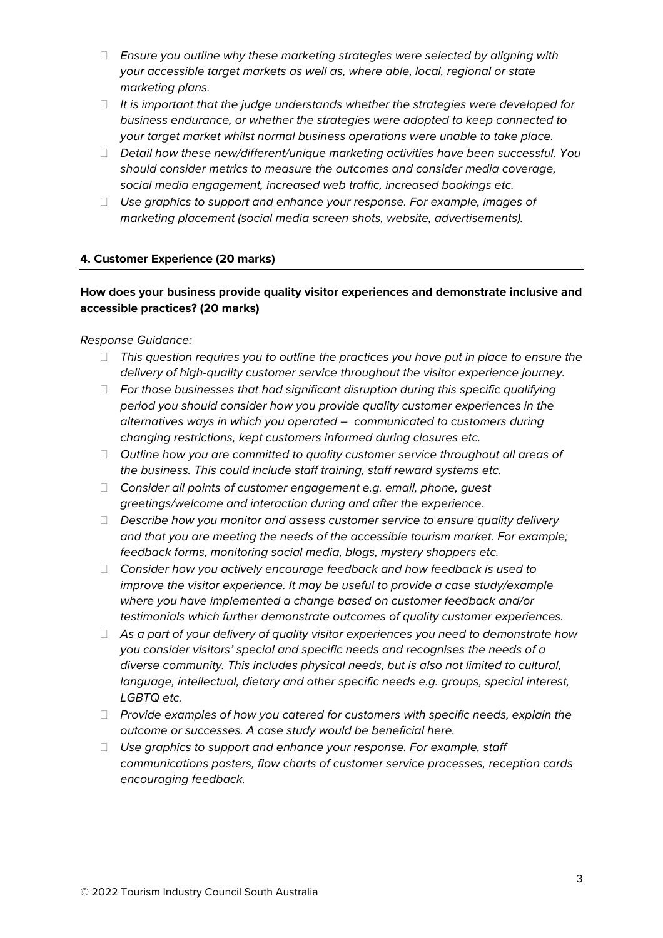- *Ensure you outline why these marketing strategies were selected by aligning with your accessible target markets as well as, where able, local, regional or state marketing plans.*
- *It is important that the judge understands whether the strategies were developed for business endurance, or whether the strategies were adopted to keep connected to your target market whilst normal business operations were unable to take place.*
- *Detail how these new/different/unique marketing activities have been successful. You should consider metrics to measure the outcomes and consider media coverage, social media engagement, increased web traffic, increased bookings etc.*
- *Use graphics to support and enhance your response. For example, images of marketing placement (social media screen shots, website, advertisements).*

## **4. Customer Experience (20 marks)**

# **How does your business provide quality visitor experiences and demonstrate inclusive and accessible practices? (20 marks)**

#### *Response Guidance:*

- *This question requires you to outline the practices you have put in place to ensure the delivery of high-quality customer service throughout the visitor experience journey.*
- *For those businesses that had significant disruption during this specific qualifying period you should consider how you provide quality customer experiences in the alternatives ways in which you operated – communicated to customers during changing restrictions, kept customers informed during closures etc.*
- *Outline how you are committed to quality customer service throughout all areas of the business. This could include staff training, staff reward systems etc.*
- *Consider all points of customer engagement e.g. email, phone, guest greetings/welcome and interaction during and after the experience.*
- *Describe how you monitor and assess customer service to ensure quality delivery and that you are meeting the needs of the accessible tourism market. For example; feedback forms, monitoring social media, blogs, mystery shoppers etc.*
- *Consider how you actively encourage feedback and how feedback is used to improve the visitor experience. It may be useful to provide a case study/example where you have implemented a change based on customer feedback and/or testimonials which further demonstrate outcomes of quality customer experiences.*
- *As a part of your delivery of quality visitor experiences you need to demonstrate how you consider visitors' special and specific needs and recognises the needs of a diverse community. This includes physical needs, but is also not limited to cultural, language, intellectual, dietary and other specific needs e.g. groups, special interest, LGBTQ etc.*
- *Provide examples of how you catered for customers with specific needs, explain the outcome or successes. A case study would be beneficial here.*
- *Use graphics to support and enhance your response. For example, staff communications posters, flow charts of customer service processes, reception cards encouraging feedback.*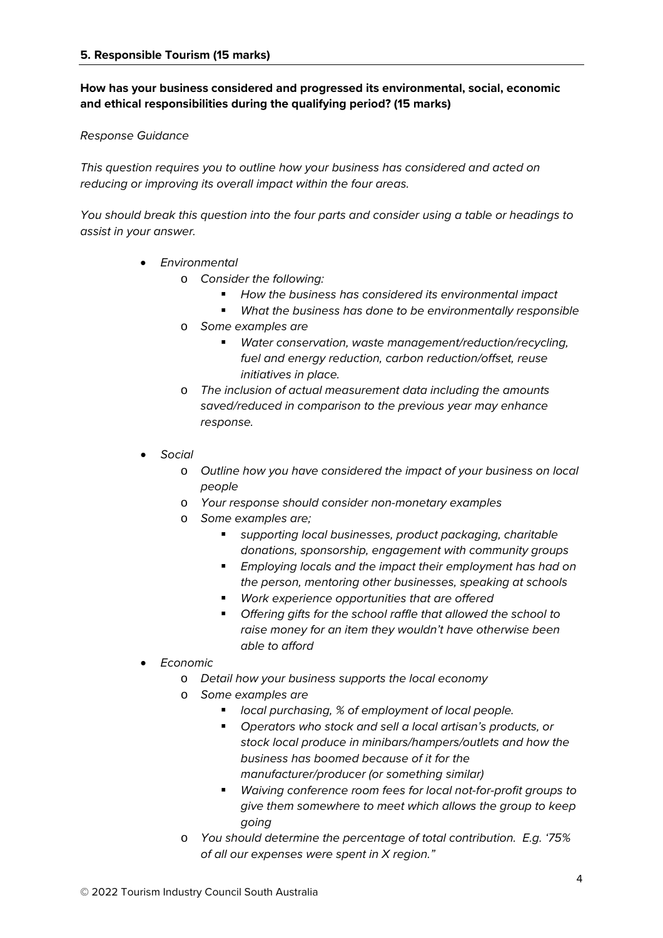# **How has your business considered and progressed its environmental, social, economic and ethical responsibilities during the qualifying period? (15 marks)**

## *Response Guidance*

*This question requires you to outline how your business has considered and acted on reducing or improving its overall impact within the four areas.* 

*You should break this question into the four parts and consider using a table or headings to assist in your answer.*

- *Environmental*
	- o *Consider the following:*
		- *How the business has considered its environmental impact*
		- *What the business has done to be environmentally responsible*
	- o *Some examples are*
		- *Water conservation, waste management/reduction/recycling, fuel and energy reduction, carbon reduction/offset, reuse initiatives in place.*
	- o *The inclusion of actual measurement data including the amounts saved/reduced in comparison to the previous year may enhance response.*
- *Social*
	- o *Outline how you have considered the impact of your business on local people*
	- o *Your response should consider non-monetary examples*
	- o *Some examples are;* 
		- *supporting local businesses, product packaging, charitable donations, sponsorship, engagement with community groups*
		- *Employing locals and the impact their employment has had on the person, mentoring other businesses, speaking at schools*
		- *Work experience opportunities that are offered*
		- *Offering gifts for the school raffle that allowed the school to raise money for an item they wouldn't have otherwise been able to afford*
- *Economic*
	- o *Detail how your business supports the local economy*
	- o *Some examples are*
		- *local purchasing, % of employment of local people.*
		- *Operators who stock and sell a local artisan's products, or stock local produce in minibars/hampers/outlets and how the business has boomed because of it for the manufacturer/producer (or something similar)*
		- *Waiving conference room fees for local not-for-profit groups to give them somewhere to meet which allows the group to keep going*
	- o *You should determine the percentage of total contribution. E.g. '75% of all our expenses were spent in X region."*